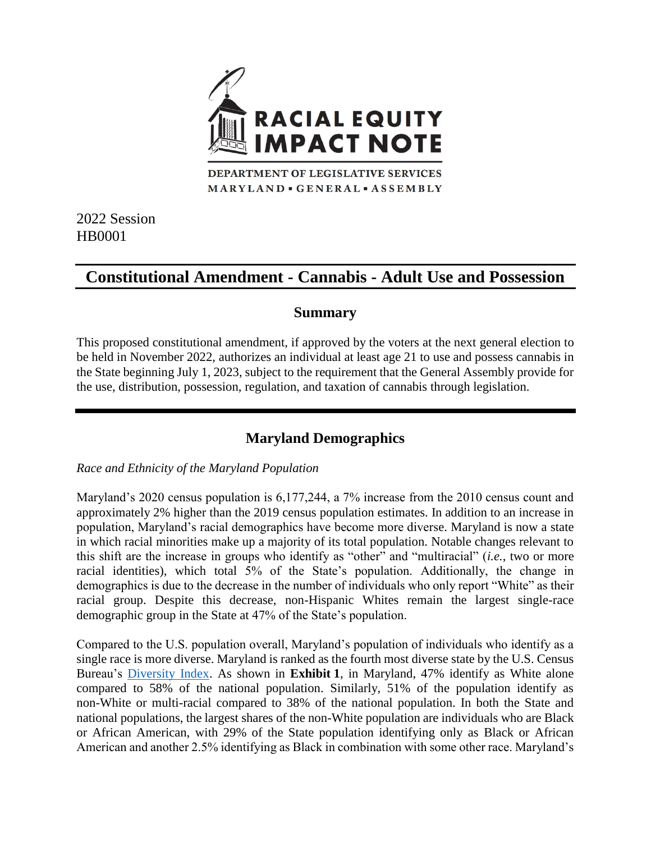

MARYLAND · GENERAL · ASSEMBLY

2022 Session HB0001

# **Constitutional Amendment - Cannabis - Adult Use and Possession**

## **Summary**

This proposed constitutional amendment, if approved by the voters at the next general election to be held in November 2022, authorizes an individual at least age 21 to use and possess cannabis in the State beginning July 1, 2023, subject to the requirement that the General Assembly provide for the use, distribution, possession, regulation, and taxation of cannabis through legislation.

## **Maryland Demographics**

## *Race and Ethnicity of the Maryland Population*

Maryland's 2020 census population is 6,177,244, a 7% increase from the 2010 census count and approximately 2% higher than the 2019 census population estimates. In addition to an increase in population, Maryland's racial demographics have become more diverse. Maryland is now a state in which racial minorities make up a majority of its total population. Notable changes relevant to this shift are the increase in groups who identify as "other" and "multiracial" (*i.e.*, two or more racial identities), which total 5% of the State's population. Additionally, the change in demographics is due to the decrease in the number of individuals who only report "White" as their racial group. Despite this decrease, non-Hispanic Whites remain the largest single-race demographic group in the State at 47% of the State's population.

Compared to the U.S. population overall, Maryland's population of individuals who identify as a single race is more diverse. Maryland is ranked as the fourth most diverse state by the U.S. Census Bureau's [Diversity Index.](https://www.census.gov/library/visualizations/interactive/racial-and-ethnic-diversity-in-the-united-states-2010-and-2020-census.html) As shown in **Exhibit 1**, in Maryland, 47% identify as White alone compared to 58% of the national population. Similarly, 51% of the population identify as non-White or multi-racial compared to 38% of the national population. In both the State and national populations, the largest shares of the non-White population are individuals who are Black or African American, with 29% of the State population identifying only as Black or African American and another 2.5% identifying as Black in combination with some other race. Maryland's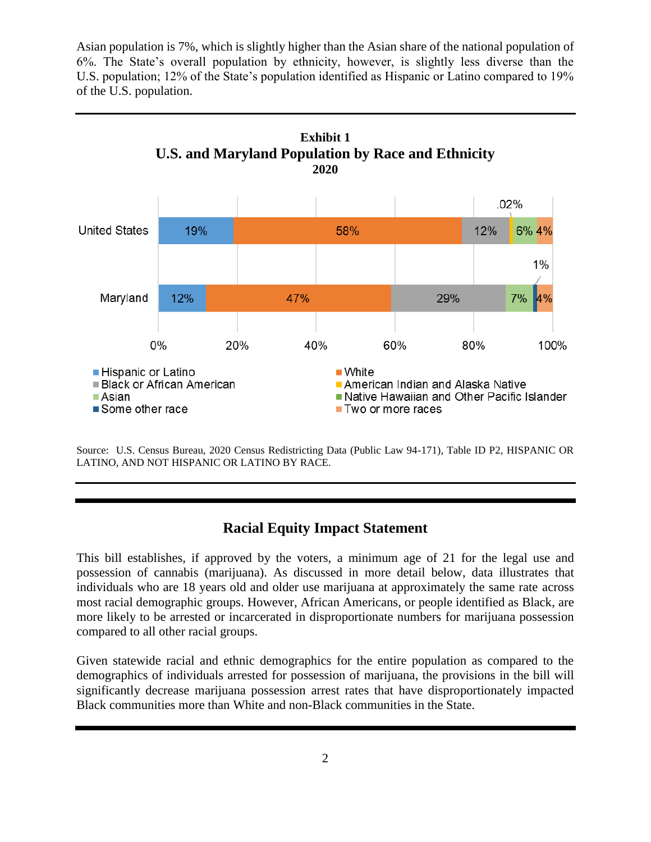Asian population is 7%, which is slightly higher than the Asian share of the national population of 6%. The State's overall population by ethnicity, however, is slightly less diverse than the U.S. population; 12% of the State's population identified as Hispanic or Latino compared to 19% of the U.S. population.



Source: U.S. Census Bureau, 2020 Census Redistricting Data (Public Law 94-171), Table ID P2, HISPANIC OR LATINO, AND NOT HISPANIC OR LATINO BY RACE.

## **Racial Equity Impact Statement**

This bill establishes, if approved by the voters, a minimum age of 21 for the legal use and possession of cannabis (marijuana). As discussed in more detail below, data illustrates that individuals who are 18 years old and older use marijuana at approximately the same rate across most racial demographic groups. However, African Americans, or people identified as Black, are more likely to be arrested or incarcerated in disproportionate numbers for marijuana possession compared to all other racial groups.

Given statewide racial and ethnic demographics for the entire population as compared to the demographics of individuals arrested for possession of marijuana, the provisions in the bill will significantly decrease marijuana possession arrest rates that have disproportionately impacted Black communities more than White and non-Black communities in the State.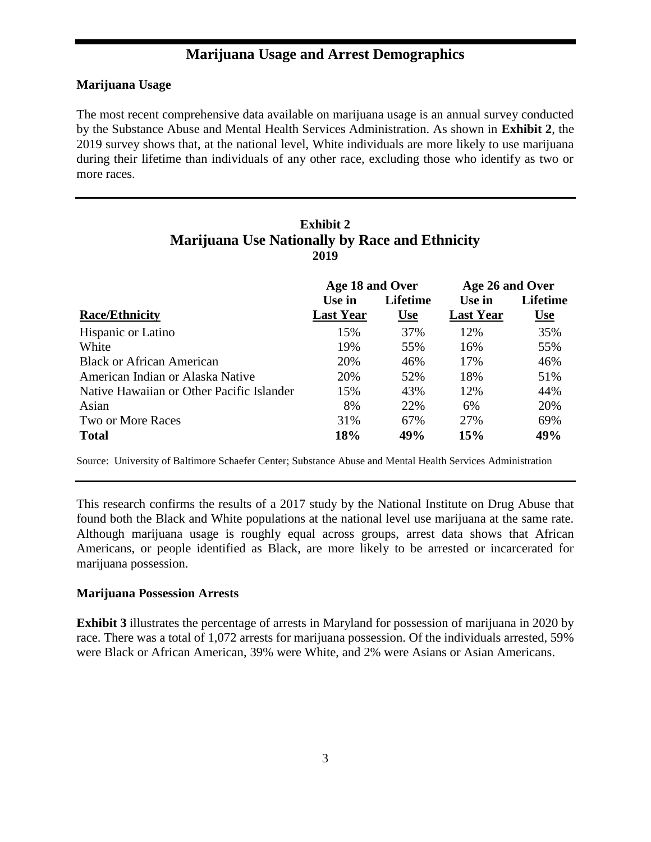## **Marijuana Usage and Arrest Demographics**

#### **Marijuana Usage**

The most recent comprehensive data available on marijuana usage is an annual survey conducted by the Substance Abuse and Mental Health Services Administration. As shown in **Exhibit 2**, the 2019 survey shows that, at the national level, White individuals are more likely to use marijuana during their lifetime than individuals of any other race, excluding those who identify as two or more races.

### **Exhibit 2 Marijuana Use Nationally by Race and Ethnicity 2019**

|                                           | Age 18 and Over  |                 | Age 26 and Over  |                 |
|-------------------------------------------|------------------|-----------------|------------------|-----------------|
|                                           | Use in           | <b>Lifetime</b> | Use in           | <b>Lifetime</b> |
| <b>Race/Ethnicity</b>                     | <b>Last Year</b> | <u>Use</u>      | <b>Last Year</b> | <u>Use</u>      |
| <b>Hispanic or Latino</b>                 | 15%              | 37%             | 12%              | 35%             |
| White                                     | 19%              | 55%             | 16%              | 55%             |
| <b>Black or African American</b>          | 20%              | 46%             | 17%              | 46%             |
| American Indian or Alaska Native          | 20%              | 52%             | 18%              | 51%             |
| Native Hawaiian or Other Pacific Islander | 15%              | 43%             | 12%              | 44%             |
| Asian                                     | 8%               | 22%             | 6%               | 20%             |
| Two or More Races                         | 31%              | 67%             | 27%              | 69%             |
| <b>Total</b>                              | 18%              | 49%             | 15%              | 49%             |

Source: University of Baltimore Schaefer Center; Substance Abuse and Mental Health Services Administration

This research confirms the results of a 2017 study by the National Institute on Drug Abuse that found both the Black and White populations at the national level use marijuana at the same rate. Although marijuana usage is roughly equal across groups, arrest data shows that African Americans, or people identified as Black, are more likely to be arrested or incarcerated for marijuana possession.

#### **Marijuana Possession Arrests**

**Exhibit 3** illustrates the percentage of arrests in Maryland for possession of marijuana in 2020 by race. There was a total of 1,072 arrests for marijuana possession. Of the individuals arrested, 59% were Black or African American, 39% were White, and 2% were Asians or Asian Americans.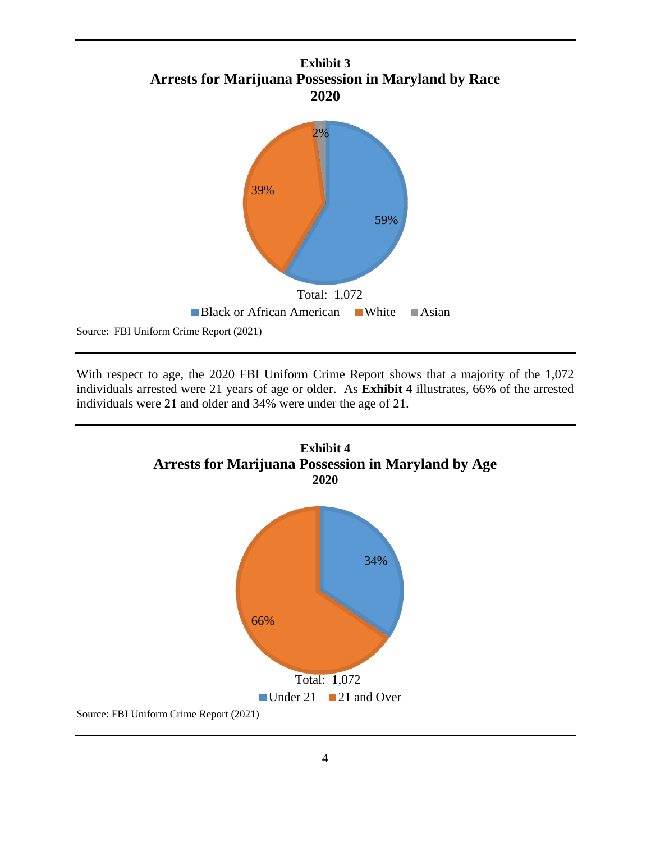

With respect to age, the 2020 FBI Uniform Crime Report shows that a majority of the 1,072 individuals arrested were 21 years of age or older. As **Exhibit 4** illustrates, 66% of the arrested individuals were 21 and older and 34% were under the age of 21.

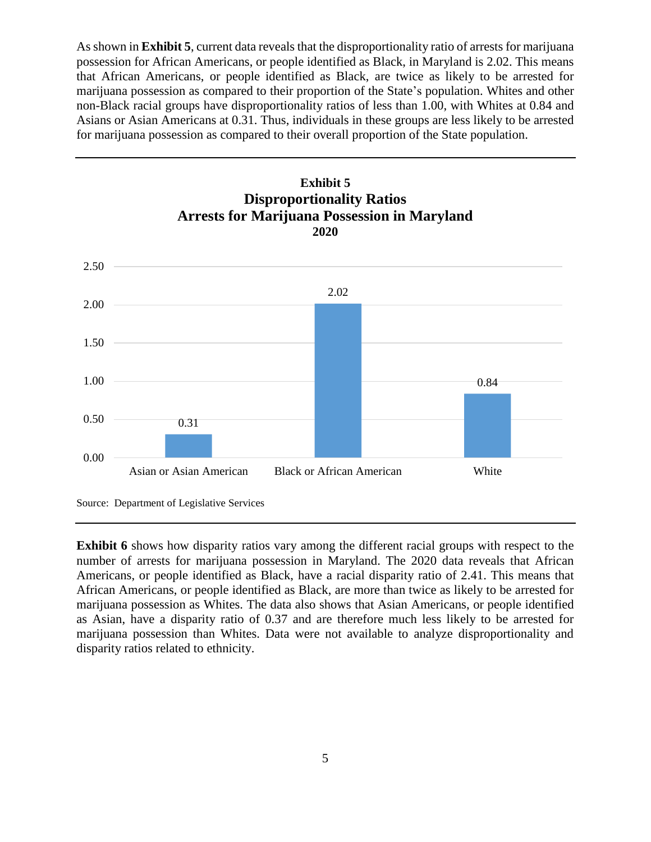As shown in **Exhibit 5**, current data reveals that the disproportionality ratio of arrests for marijuana possession for African Americans, or people identified as Black, in Maryland is 2.02. This means that African Americans, or people identified as Black, are twice as likely to be arrested for marijuana possession as compared to their proportion of the State's population. Whites and other non-Black racial groups have disproportionality ratios of less than 1.00, with Whites at 0.84 and Asians or Asian Americans at 0.31. Thus, individuals in these groups are less likely to be arrested for marijuana possession as compared to their overall proportion of the State population.



**Exhibit 6** shows how disparity ratios vary among the different racial groups with respect to the number of arrests for marijuana possession in Maryland. The 2020 data reveals that African Americans, or people identified as Black, have a racial disparity ratio of 2.41. This means that African Americans, or people identified as Black, are more than twice as likely to be arrested for marijuana possession as Whites. The data also shows that Asian Americans, or people identified as Asian, have a disparity ratio of 0.37 and are therefore much less likely to be arrested for marijuana possession than Whites. Data were not available to analyze disproportionality and disparity ratios related to ethnicity.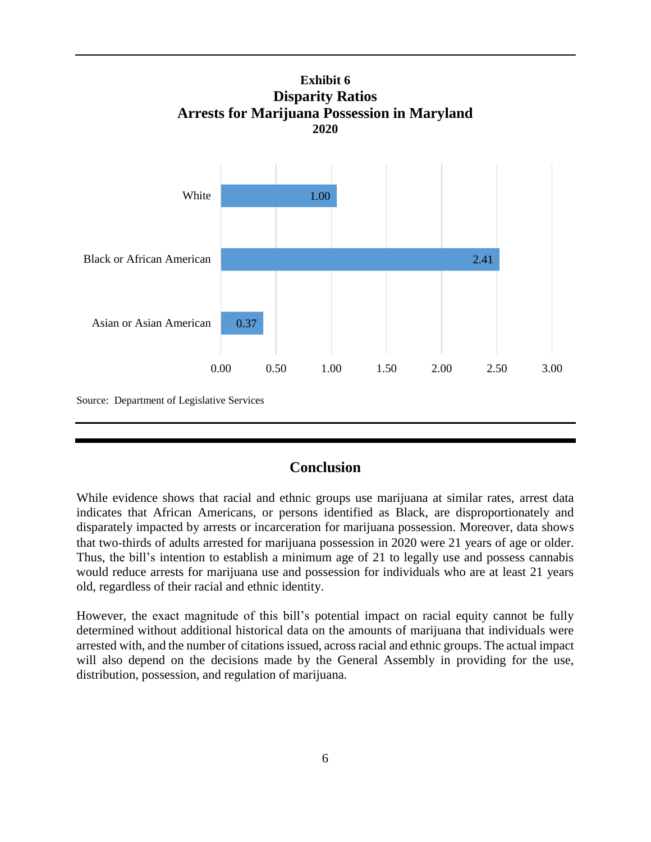

## **Conclusion**

While evidence shows that racial and ethnic groups use marijuana at similar rates, arrest data indicates that African Americans, or persons identified as Black, are disproportionately and disparately impacted by arrests or incarceration for marijuana possession. Moreover, data shows that two-thirds of adults arrested for marijuana possession in 2020 were 21 years of age or older. Thus, the bill's intention to establish a minimum age of 21 to legally use and possess cannabis would reduce arrests for marijuana use and possession for individuals who are at least 21 years old, regardless of their racial and ethnic identity.

However, the exact magnitude of this bill's potential impact on racial equity cannot be fully determined without additional historical data on the amounts of marijuana that individuals were arrested with, and the number of citations issued, across racial and ethnic groups. The actual impact will also depend on the decisions made by the General Assembly in providing for the use, distribution, possession, and regulation of marijuana.